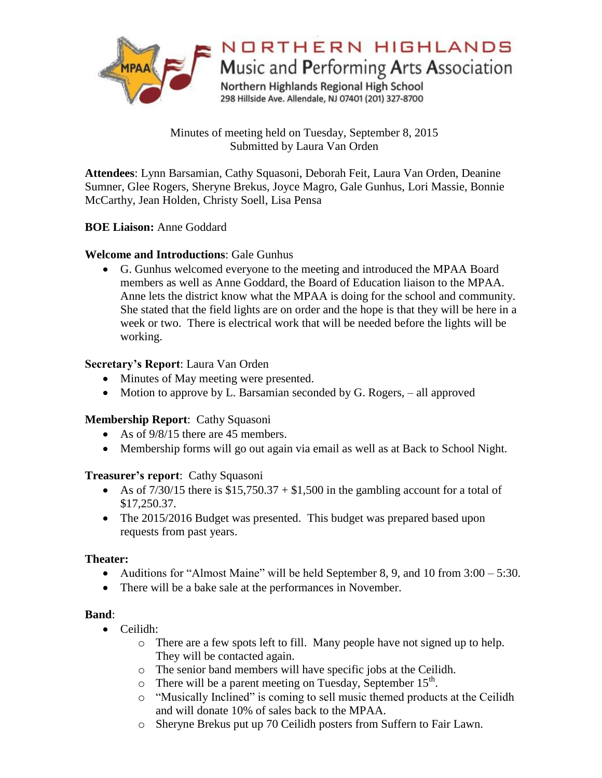

Minutes of meeting held on Tuesday, September 8, 2015 Submitted by Laura Van Orden

**Attendees**: Lynn Barsamian, Cathy Squasoni, Deborah Feit, Laura Van Orden, Deanine Sumner, Glee Rogers, Sheryne Brekus, Joyce Magro, Gale Gunhus, Lori Massie, Bonnie McCarthy, Jean Holden, Christy Soell, Lisa Pensa

### **BOE Liaison:** Anne Goddard

## **Welcome and Introductions**: Gale Gunhus

 G. Gunhus welcomed everyone to the meeting and introduced the MPAA Board members as well as Anne Goddard, the Board of Education liaison to the MPAA. Anne lets the district know what the MPAA is doing for the school and community. She stated that the field lights are on order and the hope is that they will be here in a week or two. There is electrical work that will be needed before the lights will be working.

### **Secretary's Report**: Laura Van Orden

- Minutes of May meeting were presented.
- Motion to approve by L. Barsamian seconded by G. Rogers, all approved

## **Membership Report**: Cathy Squasoni

- As of  $9/8/15$  there are 45 members.
- Membership forms will go out again via email as well as at Back to School Night.

#### **Treasurer's report**: Cathy Squasoni

- As of  $7/30/15$  there is  $$15,750.37 + $1,500$  in the gambling account for a total of \$17,250.37.
- The 2015/2016 Budget was presented. This budget was prepared based upon requests from past years.

#### **Theater:**

- Auditions for "Almost Maine" will be held September 8, 9, and 10 from  $3:00 5:30$ .
- There will be a bake sale at the performances in November.

#### **Band**:

- Ceilidh:
	- o There are a few spots left to fill. Many people have not signed up to help. They will be contacted again.
	- o The senior band members will have specific jobs at the Ceilidh.
	- $\circ$  There will be a parent meeting on Tuesday, September 15<sup>th</sup>.
	- o "Musically Inclined" is coming to sell music themed products at the Ceilidh and will donate 10% of sales back to the MPAA.
	- o Sheryne Brekus put up 70 Ceilidh posters from Suffern to Fair Lawn.